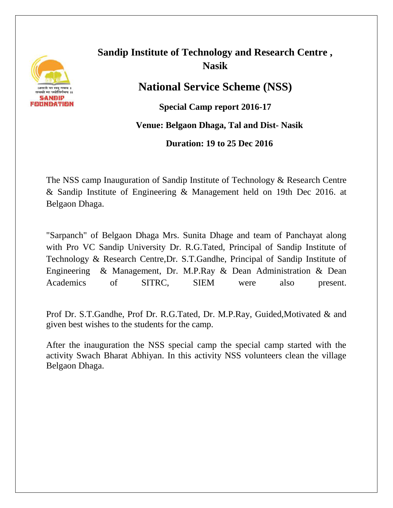

# **Sandip Institute of Technology and Research Centre , Nasik**

**National Service Scheme (NSS)**

**Special Camp report 2016-17**

**Venue: Belgaon Dhaga, Tal and Dist- Nasik**

**Duration: 19 to 25 Dec 2016**

The NSS camp Inauguration of Sandip Institute of Technology & Research Centre & Sandip Institute of Engineering & Management held on 19th Dec 2016. at Belgaon Dhaga.

"Sarpanch" of Belgaon Dhaga Mrs. Sunita Dhage and team of Panchayat along with Pro VC Sandip University Dr. R.G.Tated, Principal of Sandip Institute of Technology & Research Centre,Dr. S.T.Gandhe, Principal of Sandip Institute of Engineering & Management, Dr. M.P.Ray & Dean Administration & Dean Academics of SITRC, SIEM were also present.

Prof Dr. S.T.Gandhe, Prof Dr. R.G.Tated, Dr. M.P.Ray, Guided,Motivated & and given best wishes to the students for the camp.

After the inauguration the NSS special camp the special camp started with the activity Swach Bharat Abhiyan. In this activity NSS volunteers clean the village Belgaon Dhaga.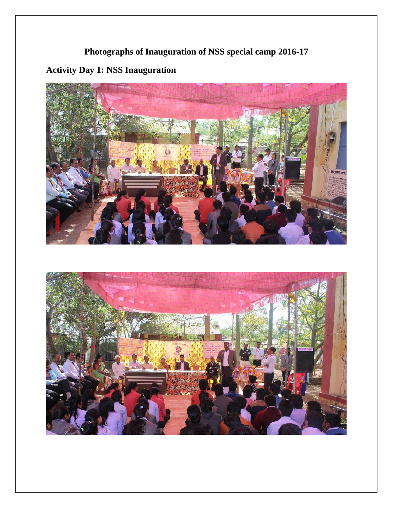# **Photographs of Inauguration of NSS special camp 2016-17**

# **Activity Day 1: NSS Inauguration**



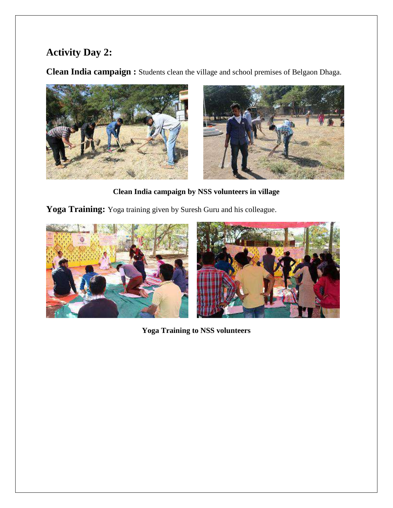# **Activity Day 2:**

**Clean India campaign :** Students clean the village and school premises of Belgaon Dhaga.



**Clean India campaign by NSS volunteers in village**

**Yoga Training:** Yoga training given by Suresh Guru and his colleague.



**Yoga Training to NSS volunteers**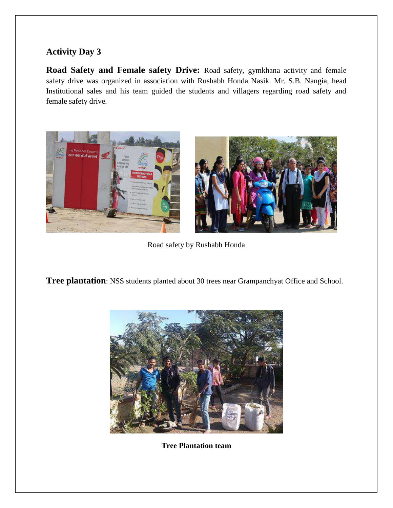### **Activity Day 3**

**Road Safety and Female safety Drive:** Road safety, gymkhana activity and female safety drive was organized in association with Rushabh Honda Nasik. Mr. S.B. Nangia, head Institutional sales and his team guided the students and villagers regarding road safety and female safety drive.



Road safety by Rushabh Honda

**Tree plantation**: NSS students planted about 30 trees near Grampanchyat Office and School.



**Tree Plantation team**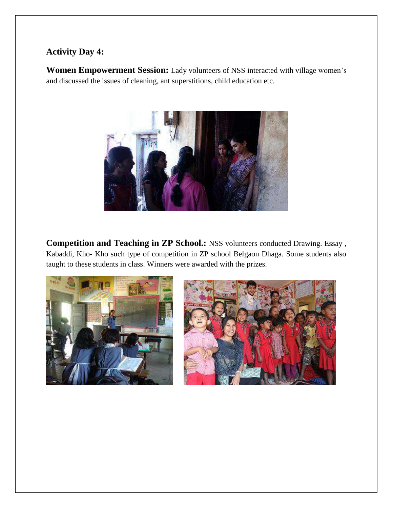### **Activity Day 4:**

**Women Empowerment Session:** Lady volunteers of NSS interacted with village women's and discussed the issues of cleaning, ant superstitions, child education etc.



**Competition and Teaching in ZP School.:** NSS volunteers conducted Drawing. Essay , Kabaddi, Kho- Kho such type of competition in ZP school Belgaon Dhaga. Some students also taught to these students in class. Winners were awarded with the prizes.



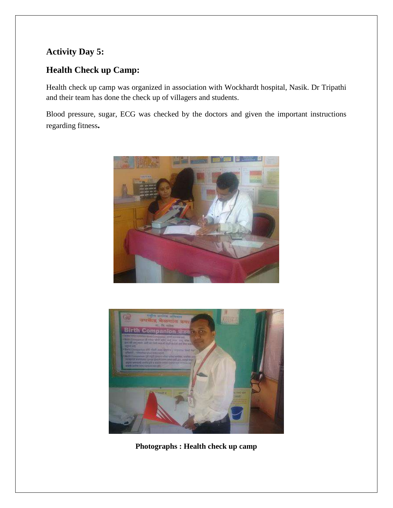## **Activity Day 5:**

#### **Health Check up Camp:**

Health check up camp was organized in association with Wockhardt hospital, Nasik. Dr Tripathi and their team has done the check up of villagers and students.

Blood pressure, sugar, ECG was checked by the doctors and given the important instructions regarding fitness**.** 





**Photographs : Health check up camp**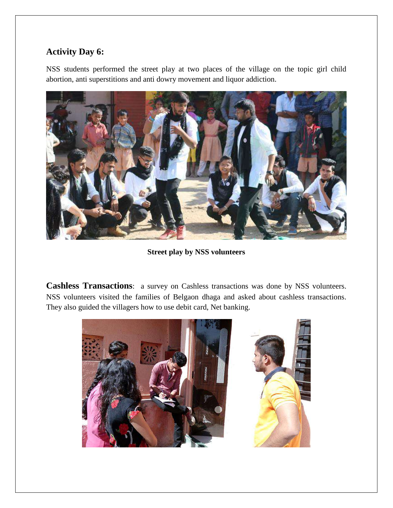#### **Activity Day 6:**

NSS students performed the street play at two places of the village on the topic girl child abortion, anti superstitions and anti dowry movement and liquor addiction.



**Street play by NSS volunteers**

**Cashless Transactions**: a survey on Cashless transactions was done by NSS volunteers. NSS volunteers visited the families of Belgaon dhaga and asked about cashless transactions. They also guided the villagers how to use debit card, Net banking.